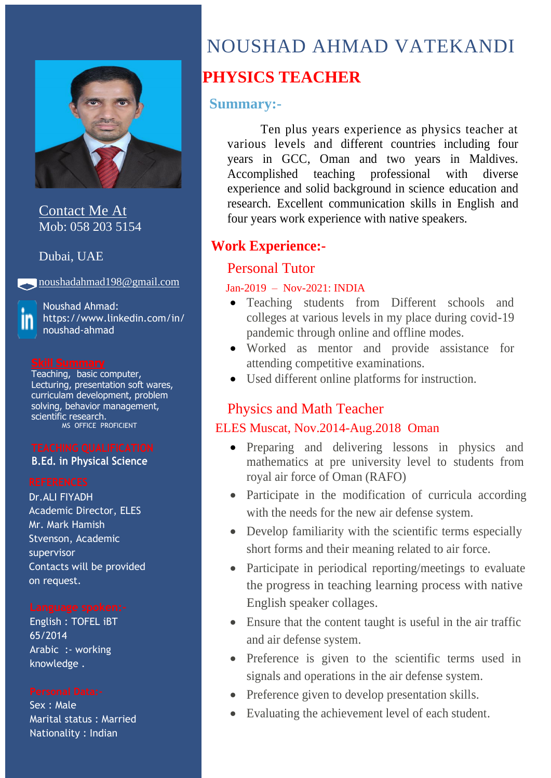

Contact Me At Mob: 058 203 5154

Dubai, UAE

[noushadahmad198@gmail.com](mailto:noushadahmad198@gmail.com)

Noushad Ahmad: https://www.linkedin.com/in/ noushad-ahmad

Teaching, basic computer, Lecturing, presentation soft wares, curriculam development, problem solving, behavior management, scientific research. MS OFFICE PROFICIENT

### **B.Ed. in Physical Science**

Dr.ALI FIYADH Academic Director, ELES Mr. Mark Hamish Stvenson, Academic supervisor Contacts will be provided on request.

English : TOFEL iBT 65/2014 Arabic :- working knowledge .

Sex : Male Marital status : Married Nationality : Indian

# NOUSHAD AHMAD VATEKANDI

# **PHYSICS TEACHER**

### **Summary:-**

Ten plus years experience as physics teacher at various levels and different countries including four years in GCC, Oman and two years in Maldives. Accomplished teaching professional with diverse experience and solid background in science education and research. Excellent communication skills in English and four years work experience with native speakers.

# **Work Experience:-**

### Personal Tutor

### Jan-2019 – Nov-2021: INDIA

- Teaching students from Different schools and colleges at various levels in my place during covid-19 pandemic through online and offline modes.
- Worked as mentor and provide assistance for attending competitive examinations.
- Used different online platforms for instruction.

### Physics and Math Teacher

### ELES Muscat, Nov.2014-Aug.2018 Oman

- Preparing and delivering lessons in physics and mathematics at pre university level to students from royal air force of Oman (RAFO)
- Participate in the modification of curricula according with the needs for the new air defense system.
- Develop familiarity with the scientific terms especially short forms and their meaning related to air force.
- Participate in periodical reporting/meetings to evaluate the progress in teaching learning process with native English speaker collages.
- Ensure that the content taught is useful in the air traffic and air defense system.
- Preference is given to the scientific terms used in signals and operations in the air defense system.
- Preference given to develop presentation skills.
- Evaluating the achievement level of each student.